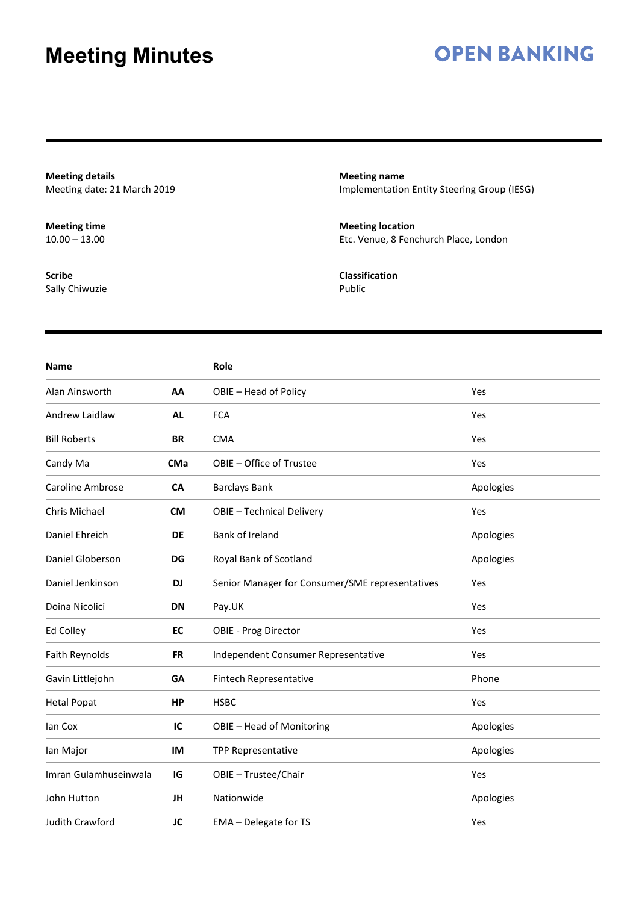### **OPEN BANKING**

**Meeting details** Meeting date: 21 March 2019

**Meeting time**  $10.00 - 13.00$ 

**Scribe** Sally Chiwuzie **Meeting name** Implementation Entity Steering Group (IESG)

**Meeting location** Etc. Venue, 8 Fenchurch Place, London

**Classification** Public

| <b>Name</b>           |            | Role                                            |           |
|-----------------------|------------|-------------------------------------------------|-----------|
| Alan Ainsworth        | AA         | OBIE - Head of Policy                           | Yes       |
| Andrew Laidlaw        | <b>AL</b>  | <b>FCA</b>                                      | Yes       |
| <b>Bill Roberts</b>   | <b>BR</b>  | <b>CMA</b>                                      | Yes       |
| Candy Ma              | <b>CMa</b> | OBIE - Office of Trustee                        | Yes       |
| Caroline Ambrose      | <b>CA</b>  | <b>Barclays Bank</b>                            | Apologies |
| Chris Michael         | <b>CM</b>  | OBIE - Technical Delivery                       | Yes       |
| Daniel Ehreich        | <b>DE</b>  | Bank of Ireland                                 | Apologies |
| Daniel Globerson      | <b>DG</b>  | Royal Bank of Scotland                          | Apologies |
| Daniel Jenkinson      | DJ         | Senior Manager for Consumer/SME representatives | Yes       |
| Doina Nicolici        | DN         | Pay.UK                                          | Yes       |
| Ed Colley             | EC         | <b>OBIE - Prog Director</b>                     | Yes       |
| Faith Reynolds        | <b>FR</b>  | Independent Consumer Representative             | Yes       |
| Gavin Littlejohn      | GA         | Fintech Representative                          | Phone     |
| <b>Hetal Popat</b>    | <b>HP</b>  | <b>HSBC</b>                                     | Yes       |
| lan Cox               | IC         | OBIE - Head of Monitoring                       | Apologies |
| lan Major             | IM         | TPP Representative                              | Apologies |
| Imran Gulamhuseinwala | IG         | OBIE - Trustee/Chair                            | Yes       |
| John Hutton           | JH         | Nationwide                                      | Apologies |
| Judith Crawford       | JC         | EMA - Delegate for TS                           | Yes       |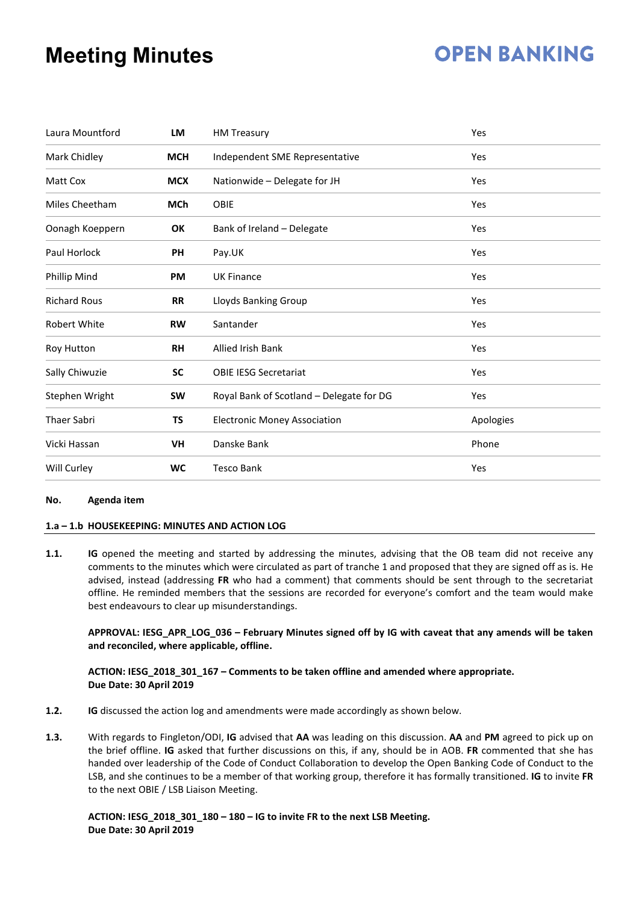## **OPEN BANKING**

| Laura Mountford                | LM         | <b>HM Treasury</b>                       | Yes       |
|--------------------------------|------------|------------------------------------------|-----------|
| Mark Chidley                   | <b>MCH</b> | Independent SME Representative           | Yes       |
| Matt Cox                       | <b>MCX</b> | Nationwide - Delegate for JH             | Yes       |
| Miles Cheetham                 | <b>MCh</b> | <b>OBIE</b>                              | Yes       |
| Oonagh Koeppern                | OK         | Bank of Ireland - Delegate               | Yes       |
| Paul Horlock                   | <b>PH</b>  | Pay.UK                                   | Yes       |
| Phillip Mind                   | <b>PM</b>  | <b>UK Finance</b>                        | Yes       |
| <b>Richard Rous</b>            | <b>RR</b>  | Lloyds Banking Group                     | Yes       |
| <b>Robert White</b>            | <b>RW</b>  | Santander                                | Yes       |
| <b>RH</b><br><b>Roy Hutton</b> |            | <b>Allied Irish Bank</b>                 | Yes       |
| Sally Chiwuzie                 | <b>SC</b>  | <b>OBIE IESG Secretariat</b>             | Yes       |
| Stephen Wright                 | <b>SW</b>  | Royal Bank of Scotland - Delegate for DG | Yes       |
| <b>Thaer Sabri</b>             | TS         | <b>Electronic Money Association</b>      | Apologies |
| Vicki Hassan                   | VH         | Danske Bank                              | Phone     |
| Will Curley                    | <b>WC</b>  | <b>Tesco Bank</b>                        | Yes       |

#### **No. Agenda item**

#### **1.a – 1.b HOUSEKEEPING: MINUTES AND ACTION LOG**

**1.1. IG** opened the meeting and started by addressing the minutes, advising that the OB team did not receive any comments to the minutes which were circulated as part of tranche 1 and proposed that they are signed off as is. He advised, instead (addressing **FR** who had a comment) that comments should be sent through to the secretariat offline. He reminded members that the sessions are recorded for everyone's comfort and the team would make best endeavours to clear up misunderstandings.

#### **APPROVAL: IESG\_APR\_LOG\_036 – February Minutes signed off by IG with caveat that any amends will be taken and reconciled, where applicable, offline.**

#### **ACTION: IESG\_2018\_301\_167 – Comments to be taken offline and amended where appropriate. Due Date: 30 April 2019**

- **1.2. IG** discussed the action log and amendments were made accordingly as shown below.
- **1.3.** With regards to Fingleton/ODI, **IG** advised that **AA** was leading on this discussion. **AA** and **PM** agreed to pick up on the brief offline. **IG** asked that further discussions on this, if any, should be in AOB. **FR** commented that she has handed over leadership of the Code of Conduct Collaboration to develop the Open Banking Code of Conduct to the LSB, and she continues to be a member of that working group, therefore it has formally transitioned. **IG** to invite **FR**  to the next OBIE / LSB Liaison Meeting.

#### **ACTION: IESG\_2018\_301\_180 – 180 – IG to invite FR to the next LSB Meeting. Due Date: 30 April 2019**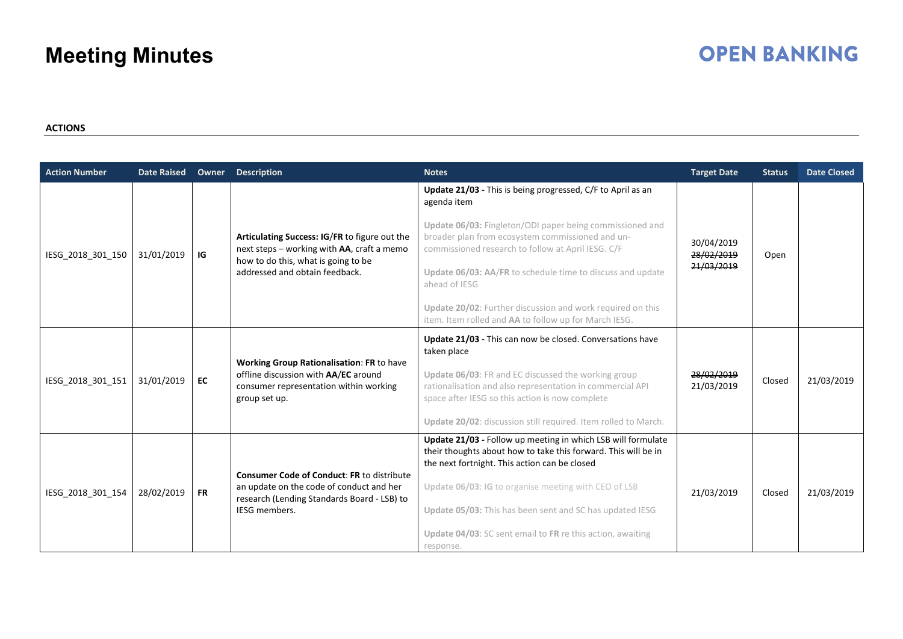### **OPEN BANKING**

#### **ACTIONS**

| <b>Action Number</b> | <b>Date Raised</b> | Owner     | <b>Description</b>                                                                                                                                                   | <b>Notes</b>                                                                                                                                                                    | <b>Target Date</b>                     | <b>Status</b> | <b>Date Closed</b> |
|----------------------|--------------------|-----------|----------------------------------------------------------------------------------------------------------------------------------------------------------------------|---------------------------------------------------------------------------------------------------------------------------------------------------------------------------------|----------------------------------------|---------------|--------------------|
| IESG_2018_301_150    | 31/01/2019         | IG        | Articulating Success: IG/FR to figure out the<br>next steps - working with AA, craft a memo<br>how to do this, what is going to be<br>addressed and obtain feedback. | Update 21/03 - This is being progressed, C/F to April as an<br>agenda item                                                                                                      | 30/04/2019<br>28/02/2019<br>21/03/2019 |               |                    |
|                      |                    |           |                                                                                                                                                                      | Update 06/03: Fingleton/ODI paper being commissioned and<br>broader plan from ecosystem commissioned and un-<br>commissioned research to follow at April IESG. C/F              |                                        | Open          |                    |
|                      |                    |           |                                                                                                                                                                      | Update 06/03: AA/FR to schedule time to discuss and update<br>ahead of IESG                                                                                                     |                                        |               |                    |
|                      |                    |           |                                                                                                                                                                      | Update 20/02: Further discussion and work required on this<br>item. Item rolled and AA to follow up for March IESG.                                                             |                                        |               |                    |
| IESG_2018_301_151    | 31/01/2019         | EC        | <b>Working Group Rationalisation: FR to have</b><br>offline discussion with AA/EC around<br>consumer representation within working<br>group set up.                  | Update 21/03 - This can now be closed. Conversations have<br>taken place                                                                                                        |                                        |               |                    |
|                      |                    |           |                                                                                                                                                                      | Update 06/03: FR and EC discussed the working group<br>rationalisation and also representation in commercial API<br>space after IESG so this action is now complete             | 28/02/2019<br>21/03/2019               | Closed        | 21/03/2019         |
|                      |                    |           |                                                                                                                                                                      | Update 20/02: discussion still required. Item rolled to March.                                                                                                                  |                                        |               |                    |
| IESG_2018_301_154    | 28/02/2019         | <b>FR</b> | <b>Consumer Code of Conduct: FR to distribute</b><br>an update on the code of conduct and her<br>research (Lending Standards Board - LSB) to<br>IESG members.        | Update 21/03 - Follow up meeting in which LSB will formulate<br>their thoughts about how to take this forward. This will be in<br>the next fortnight. This action can be closed |                                        |               |                    |
|                      |                    |           |                                                                                                                                                                      | Update 06/03: IG to organise meeting with CEO of LSB                                                                                                                            | 21/03/2019                             | Closed        | 21/03/2019         |
|                      |                    |           |                                                                                                                                                                      | Update 05/03: This has been sent and SC has updated IESG                                                                                                                        |                                        |               |                    |
|                      |                    |           |                                                                                                                                                                      | Update 04/03: SC sent email to FR re this action, awaiting<br>response.                                                                                                         |                                        |               |                    |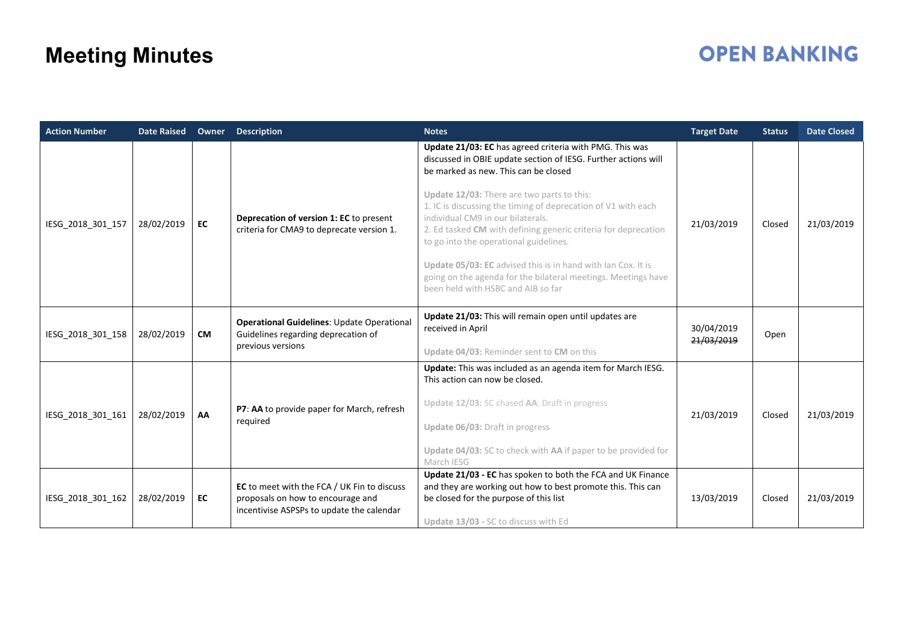# **OPEN BANKING**

| <b>Action Number</b> | <b>Date Raised</b> | Owner     | <b>Description</b>                                                                                                            | <b>Notes</b>                                                                                                                                                                                                                                                                                                                                                                                                                                                                                                                                                                                             | <b>Target Date</b>       | <b>Status</b> | <b>Date Closed</b> |
|----------------------|--------------------|-----------|-------------------------------------------------------------------------------------------------------------------------------|----------------------------------------------------------------------------------------------------------------------------------------------------------------------------------------------------------------------------------------------------------------------------------------------------------------------------------------------------------------------------------------------------------------------------------------------------------------------------------------------------------------------------------------------------------------------------------------------------------|--------------------------|---------------|--------------------|
| IESG_2018_301_157    | 28/02/2019         | EC        | Deprecation of version 1: EC to present<br>criteria for CMA9 to deprecate version 1.                                          | Update 21/03: EC has agreed criteria with PMG. This was<br>discussed in OBIE update section of IESG. Further actions will<br>be marked as new. This can be closed<br>Update 12/03: There are two parts to this:<br>1. IC is discussing the timing of deprecation of V1 with each<br>individual CM9 in our bilaterals.<br>2. Ed tasked CM with defining generic criteria for deprecation<br>to go into the operational guidelines.<br>Update 05/03: EC advised this is in hand with Ian Cox. It is<br>going on the agenda for the bilateral meetings. Meetings have<br>been held with HSBC and AIB so far | 21/03/2019               | Closed        | 21/03/2019         |
| IESG_2018_301_158    | 28/02/2019         | <b>CM</b> | Operational Guidelines: Update Operational<br>Guidelines regarding deprecation of<br>previous versions                        | Update 21/03: This will remain open until updates are<br>received in April<br>Update 04/03: Reminder sent to CM on this                                                                                                                                                                                                                                                                                                                                                                                                                                                                                  | 30/04/2019<br>21/03/2019 | Open          |                    |
| IESG_2018_301_161    | 28/02/2019         | AA        | P7: AA to provide paper for March, refresh<br>required                                                                        | Update: This was included as an agenda item for March IESG.<br>This action can now be closed.<br>Update 12/03: SC chased AA. Draft in progress<br>Update 06/03: Draft in progress<br>Update 04/03: SC to check with AA if paper to be provided for<br>March IESG                                                                                                                                                                                                                                                                                                                                         | 21/03/2019               | Closed        | 21/03/2019         |
| IESG 2018 301 162    | 28/02/2019         | EC        | EC to meet with the FCA / UK Fin to discuss<br>proposals on how to encourage and<br>incentivise ASPSPs to update the calendar | Update 21/03 - EC has spoken to both the FCA and UK Finance<br>and they are working out how to best promote this. This can<br>be closed for the purpose of this list<br>Update 13/03 - SC to discuss with Ed                                                                                                                                                                                                                                                                                                                                                                                             | 13/03/2019               | Closed        | 21/03/2019         |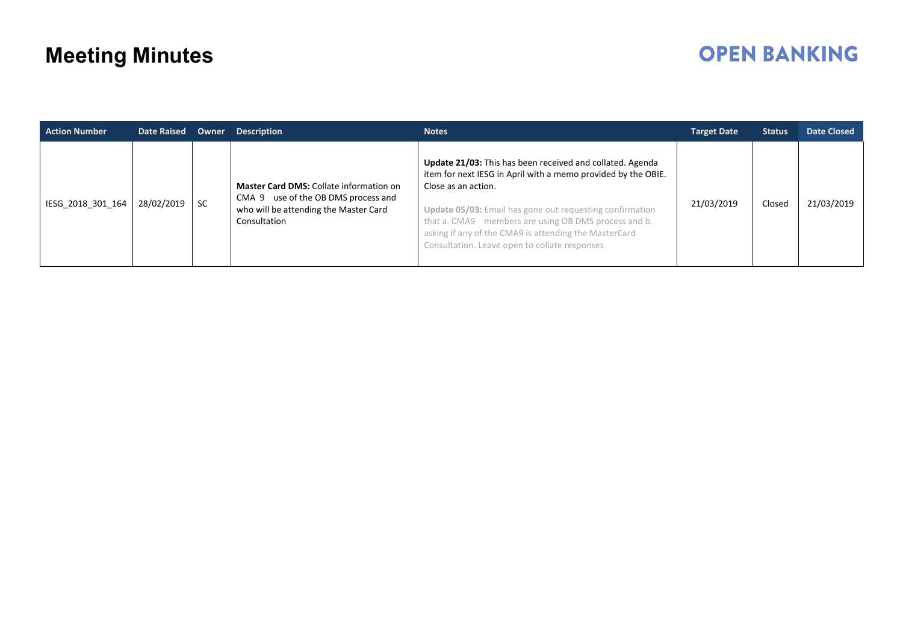# **OPEN BANKING**

| <b>Action Number</b> | <b>Date Raised</b> | Owner | <b>Description</b>                                                                                                                      | <b>Notes</b>                                                                                                                                                                                                                                                                                                                                                                    | <b>Target Date</b> | <b>Status</b> | Date Closed |
|----------------------|--------------------|-------|-----------------------------------------------------------------------------------------------------------------------------------------|---------------------------------------------------------------------------------------------------------------------------------------------------------------------------------------------------------------------------------------------------------------------------------------------------------------------------------------------------------------------------------|--------------------|---------------|-------------|
| IESG 2018 301 164    | 28/02/2019         | -SC   | Master Card DMS: Collate information on<br>CMA 9 use of the OB DMS process and<br>who will be attending the Master Card<br>Consultation | Update 21/03: This has been received and collated. Agenda<br>item for next IESG in April with a memo provided by the OBIE.<br>Close as an action.<br>Update 05/03: Email has gone out requesting confirmation<br>that a. CMA9 members are using OB DMS process and b.<br>asking if any of the CMA9 is attending the MasterCard<br>Consultation. Leave open to collate responses | 21/03/2019         | Closed        | 21/03/2019  |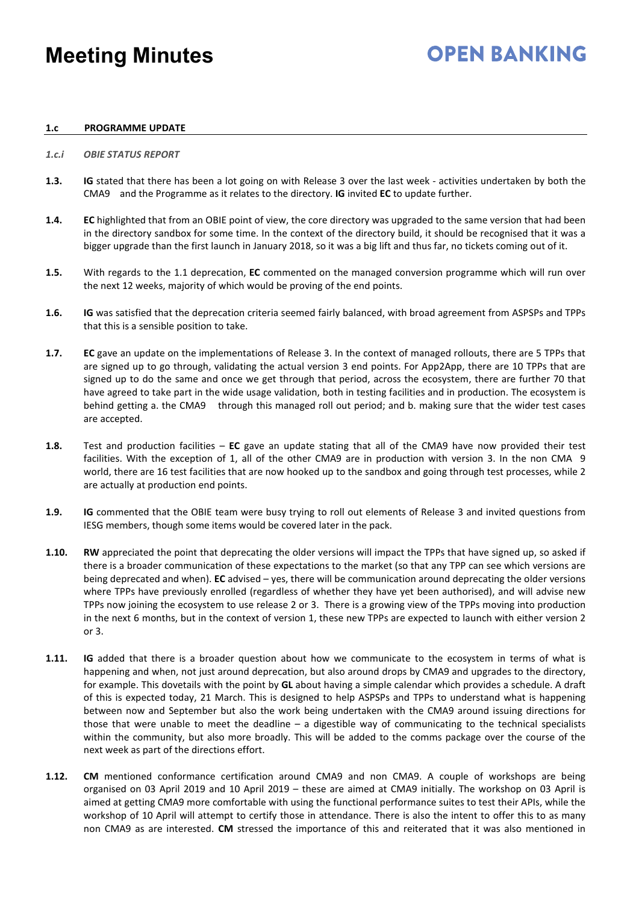# **OPEN BANKING**

#### **1.c PROGRAMME UPDATE**

#### *1.c.i OBIE STATUS REPORT*

- **1.3. IG** stated that there has been a lot going on with Release 3 over the last week activities undertaken by both the CMA9 and the Programme as it relates to the directory. **IG** invited **EC** to update further.
- **1.4. EC** highlighted that from an OBIE point of view, the core directory was upgraded to the same version that had been in the directory sandbox for some time. In the context of the directory build, it should be recognised that it was a bigger upgrade than the first launch in January 2018, so it was a big lift and thus far, no tickets coming out of it.
- **1.5.** With regards to the 1.1 deprecation, **EC** commented on the managed conversion programme which will run over the next 12 weeks, majority of which would be proving of the end points.
- **1.6. IG** was satisfied that the deprecation criteria seemed fairly balanced, with broad agreement from ASPSPs and TPPs that this is a sensible position to take.
- **1.7. EC** gave an update on the implementations of Release 3. In the context of managed rollouts, there are 5 TPPs that are signed up to go through, validating the actual version 3 end points. For App2App, there are 10 TPPs that are signed up to do the same and once we get through that period, across the ecosystem, there are further 70 that have agreed to take part in the wide usage validation, both in testing facilities and in production. The ecosystem is behind getting a. the CMA9 through this managed roll out period; and b. making sure that the wider test cases are accepted.
- **1.8.** Test and production facilities **EC** gave an update stating that all of the CMA9 have now provided their test facilities. With the exception of 1, all of the other CMA9 are in production with version 3. In the non CMA 9 world, there are 16 test facilities that are now hooked up to the sandbox and going through test processes, while 2 are actually at production end points.
- **1.9. IG** commented that the OBIE team were busy trying to roll out elements of Release 3 and invited questions from IESG members, though some items would be covered later in the pack.
- **1.10. RW** appreciated the point that deprecating the older versions will impact the TPPs that have signed up, so asked if there is a broader communication of these expectations to the market (so that any TPP can see which versions are being deprecated and when). **EC** advised – yes, there will be communication around deprecating the older versions where TPPs have previously enrolled (regardless of whether they have yet been authorised), and will advise new TPPs now joining the ecosystem to use release 2 or 3. There is a growing view of the TPPs moving into production in the next 6 months, but in the context of version 1, these new TPPs are expected to launch with either version 2 or 3.
- **1.11. IG** added that there is a broader question about how we communicate to the ecosystem in terms of what is happening and when, not just around deprecation, but also around drops by CMA9 and upgrades to the directory, for example. This dovetails with the point by **GL** about having a simple calendar which provides a schedule. A draft of this is expected today, 21 March. This is designed to help ASPSPs and TPPs to understand what is happening between now and September but also the work being undertaken with the CMA9 around issuing directions for those that were unable to meet the deadline  $-$  a digestible way of communicating to the technical specialists within the community, but also more broadly. This will be added to the comms package over the course of the next week as part of the directions effort.
- **1.12. CM** mentioned conformance certification around CMA9 and non CMA9. A couple of workshops are being organised on 03 April 2019 and 10 April 2019 – these are aimed at CMA9 initially. The workshop on 03 April is aimed at getting CMA9 more comfortable with using the functional performance suites to test their APIs, while the workshop of 10 April will attempt to certify those in attendance. There is also the intent to offer this to as many non CMA9 as are interested. **CM** stressed the importance of this and reiterated that it was also mentioned in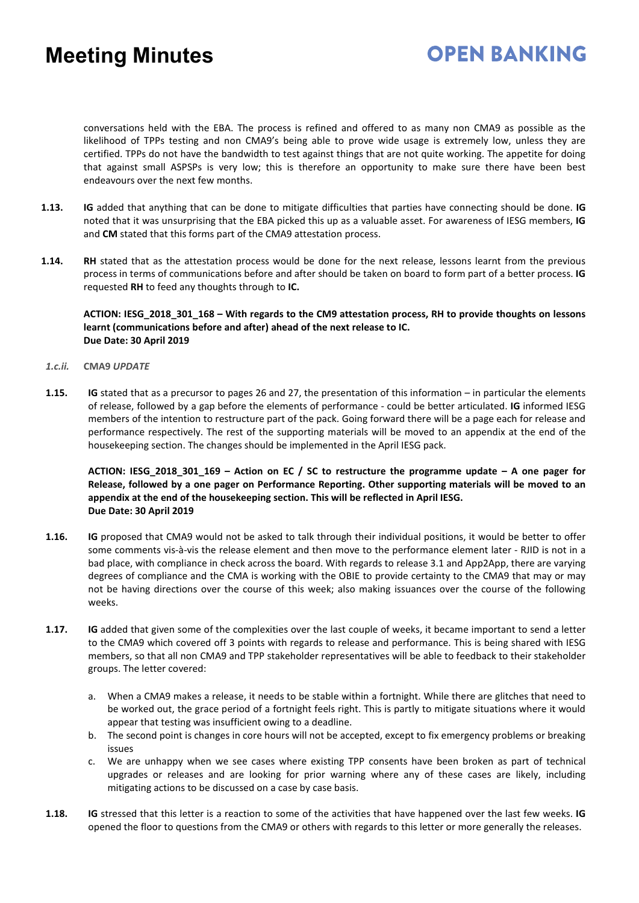## **OPEN BANKING**

conversations held with the EBA. The process is refined and offered to as many non CMA9 as possible as the likelihood of TPPs testing and non CMA9's being able to prove wide usage is extremely low, unless they are certified. TPPs do not have the bandwidth to test against things that are not quite working. The appetite for doing that against small ASPSPs is very low; this is therefore an opportunity to make sure there have been best endeavours over the next few months.

- **1.13. IG** added that anything that can be done to mitigate difficulties that parties have connecting should be done. **IG** noted that it was unsurprising that the EBA picked this up as a valuable asset. For awareness of IESG members, **IG** and **CM** stated that this forms part of the CMA9 attestation process.
- **1.14. RH** stated that as the attestation process would be done for the next release, lessons learnt from the previous process in terms of communications before and after should be taken on board to form part of a better process. **IG** requested **RH** to feed any thoughts through to **IC.**

**ACTION: IESG\_2018\_301\_168 – With regards to the CM9 attestation process, RH to provide thoughts on lessons learnt (communications before and after) ahead of the next release to IC. Due Date: 30 April 2019** 

- *1.c.ii.* **CMA9** *UPDATE*
- **1.15. IG** stated that as a precursor to pages 26 and 27, the presentation of this information in particular the elements of release, followed by a gap before the elements of performance - could be better articulated. **IG** informed IESG members of the intention to restructure part of the pack. Going forward there will be a page each for release and performance respectively. The rest of the supporting materials will be moved to an appendix at the end of the housekeeping section. The changes should be implemented in the April IESG pack.

**ACTION: IESG\_2018\_301\_169 – Action on EC / SC to restructure the programme update – A one pager for Release, followed by a one pager on Performance Reporting. Other supporting materials will be moved to an appendix at the end of the housekeeping section. This will be reflected in April IESG. Due Date: 30 April 2019**

- **1.16. IG** proposed that CMA9 would not be asked to talk through their individual positions, it would be better to offer some comments vis-à-vis the release element and then move to the performance element later - RJID is not in a bad place, with compliance in check across the board. With regards to release 3.1 and App2App, there are varying degrees of compliance and the CMA is working with the OBIE to provide certainty to the CMA9 that may or may not be having directions over the course of this week; also making issuances over the course of the following weeks.
- **1.17. IG** added that given some of the complexities over the last couple of weeks, it became important to send a letter to the CMA9 which covered off 3 points with regards to release and performance. This is being shared with IESG members, so that all non CMA9 and TPP stakeholder representatives will be able to feedback to their stakeholder groups. The letter covered:
	- a. When a CMA9 makes a release, it needs to be stable within a fortnight. While there are glitches that need to be worked out, the grace period of a fortnight feels right. This is partly to mitigate situations where it would appear that testing was insufficient owing to a deadline.
	- b. The second point is changes in core hours will not be accepted, except to fix emergency problems or breaking issues
	- c. We are unhappy when we see cases where existing TPP consents have been broken as part of technical upgrades or releases and are looking for prior warning where any of these cases are likely, including mitigating actions to be discussed on a case by case basis.
- **1.18. IG** stressed that this letter is a reaction to some of the activities that have happened over the last few weeks. **IG** opened the floor to questions from the CMA9 or others with regards to this letter or more generally the releases.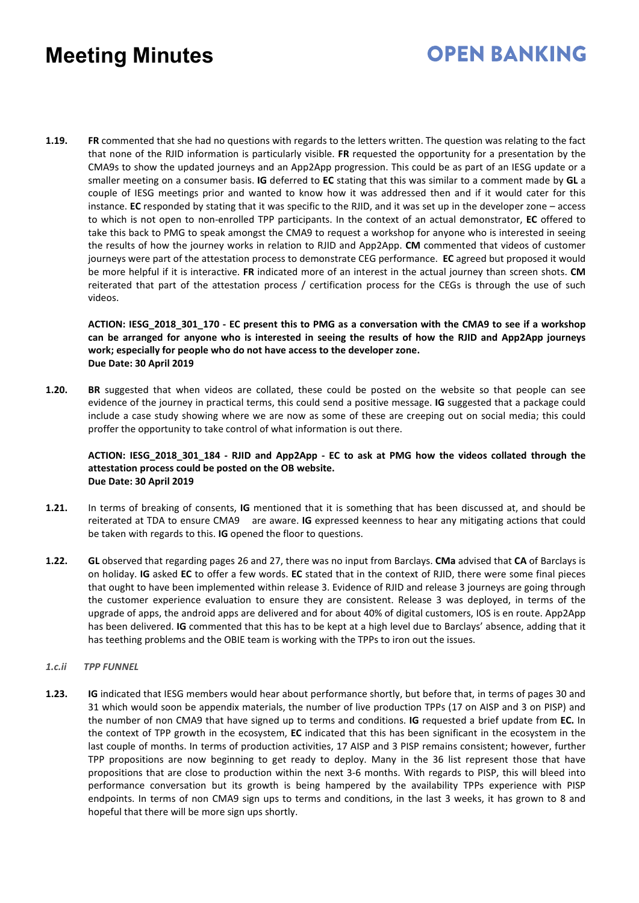# **OPEN BANKING**

**1.19. FR** commented that she had no questions with regards to the letters written. The question was relating to the fact that none of the RJID information is particularly visible. **FR** requested the opportunity for a presentation by the CMA9s to show the updated journeys and an App2App progression. This could be as part of an IESG update or a smaller meeting on a consumer basis. **IG** deferred to **EC** stating that this was similar to a comment made by **GL** a couple of IESG meetings prior and wanted to know how it was addressed then and if it would cater for this instance. **EC** responded by stating that it was specific to the RJID, and it was set up in the developer zone – access to which is not open to non-enrolled TPP participants. In the context of an actual demonstrator, **EC** offered to take this back to PMG to speak amongst the CMA9 to request a workshop for anyone who is interested in seeing the results of how the journey works in relation to RJID and App2App. **CM** commented that videos of customer journeys were part of the attestation process to demonstrate CEG performance. **EC** agreed but proposed it would be more helpful if it is interactive. **FR** indicated more of an interest in the actual journey than screen shots. **CM** reiterated that part of the attestation process / certification process for the CEGs is through the use of such videos.

**ACTION: IESG\_2018\_301\_170 - EC present this to PMG as a conversation with the CMA9 to see if a workshop can be arranged for anyone who is interested in seeing the results of how the RJID and App2App journeys work; especially for people who do not have access to the developer zone. Due Date: 30 April 2019** 

**1.20. BR** suggested that when videos are collated, these could be posted on the website so that people can see evidence of the journey in practical terms, this could send a positive message. **IG** suggested that a package could include a case study showing where we are now as some of these are creeping out on social media; this could proffer the opportunity to take control of what information is out there.

#### **ACTION: IESG\_2018\_301\_184 - RJID and App2App - EC to ask at PMG how the videos collated through the attestation process could be posted on the OB website. Due Date: 30 April 2019**

- **1.21.** In terms of breaking of consents, **IG** mentioned that it is something that has been discussed at, and should be reiterated at TDA to ensure CMA9 are aware. **IG** expressed keenness to hear any mitigating actions that could be taken with regards to this. **IG** opened the floor to questions.
- **1.22. GL** observed that regarding pages 26 and 27, there was no input from Barclays. **CMa** advised that **CA** of Barclays is on holiday. **IG** asked **EC** to offer a few words. **EC** stated that in the context of RJID, there were some final pieces that ought to have been implemented within release 3. Evidence of RJID and release 3 journeys are going through the customer experience evaluation to ensure they are consistent. Release 3 was deployed, in terms of the upgrade of apps, the android apps are delivered and for about 40% of digital customers, IOS is en route. App2App has been delivered. **IG** commented that this has to be kept at a high level due to Barclays' absence, adding that it has teething problems and the OBIE team is working with the TPPs to iron out the issues.

#### *1.c.ii TPP FUNNEL*

**1.23. IG** indicated that IESG members would hear about performance shortly, but before that, in terms of pages 30 and 31 which would soon be appendix materials, the number of live production TPPs (17 on AISP and 3 on PISP) and the number of non CMA9 that have signed up to terms and conditions. **IG** requested a brief update from **EC.** In the context of TPP growth in the ecosystem, **EC** indicated that this has been significant in the ecosystem in the last couple of months. In terms of production activities, 17 AISP and 3 PISP remains consistent; however, further TPP propositions are now beginning to get ready to deploy. Many in the 36 list represent those that have propositions that are close to production within the next 3-6 months. With regards to PISP, this will bleed into performance conversation but its growth is being hampered by the availability TPPs experience with PISP endpoints. In terms of non CMA9 sign ups to terms and conditions, in the last 3 weeks, it has grown to 8 and hopeful that there will be more sign ups shortly.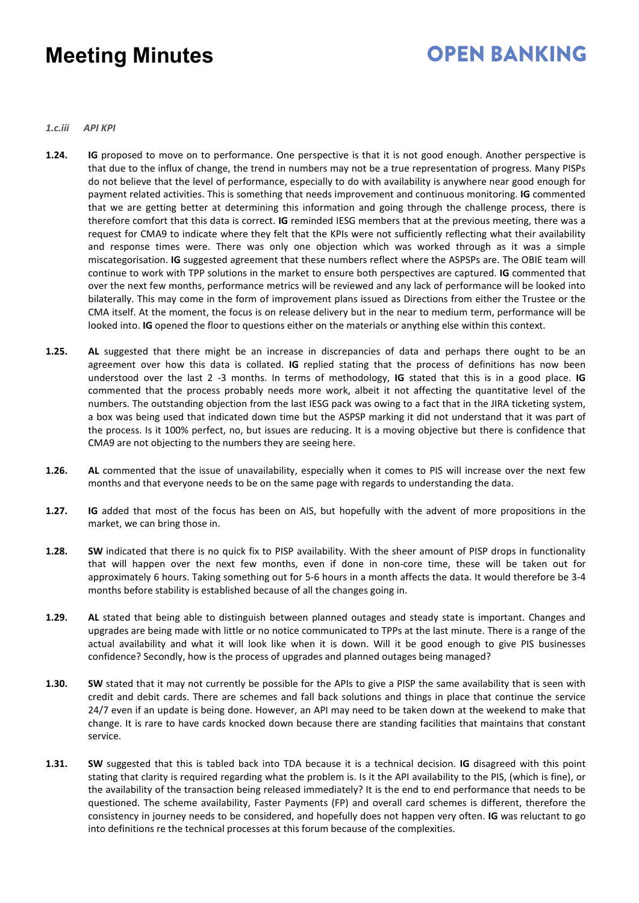# **OPEN BANKING**

*1.c.iii API KPI*

- **1.24. IG** proposed to move on to performance. One perspective is that it is not good enough. Another perspective is that due to the influx of change, the trend in numbers may not be a true representation of progress. Many PISPs do not believe that the level of performance, especially to do with availability is anywhere near good enough for payment related activities. This is something that needs improvement and continuous monitoring. **IG** commented that we are getting better at determining this information and going through the challenge process, there is therefore comfort that this data is correct. **IG** reminded IESG members that at the previous meeting, there was a request for CMA9 to indicate where they felt that the KPIs were not sufficiently reflecting what their availability and response times were. There was only one objection which was worked through as it was a simple miscategorisation. **IG** suggested agreement that these numbers reflect where the ASPSPs are. The OBIE team will continue to work with TPP solutions in the market to ensure both perspectives are captured. **IG** commented that over the next few months, performance metrics will be reviewed and any lack of performance will be looked into bilaterally. This may come in the form of improvement plans issued as Directions from either the Trustee or the CMA itself. At the moment, the focus is on release delivery but in the near to medium term, performance will be looked into. **IG** opened the floor to questions either on the materials or anything else within this context.
- **1.25. AL** suggested that there might be an increase in discrepancies of data and perhaps there ought to be an agreement over how this data is collated. **IG** replied stating that the process of definitions has now been understood over the last 2 -3 months. In terms of methodology, **IG** stated that this is in a good place. **IG** commented that the process probably needs more work, albeit it not affecting the quantitative level of the numbers. The outstanding objection from the last IESG pack was owing to a fact that in the JIRA ticketing system, a box was being used that indicated down time but the ASPSP marking it did not understand that it was part of the process. Is it 100% perfect, no, but issues are reducing. It is a moving objective but there is confidence that CMA9 are not objecting to the numbers they are seeing here.
- **1.26. AL** commented that the issue of unavailability, especially when it comes to PIS will increase over the next few months and that everyone needs to be on the same page with regards to understanding the data.
- **1.27. IG** added that most of the focus has been on AIS, but hopefully with the advent of more propositions in the market, we can bring those in.
- **1.28. SW** indicated that there is no quick fix to PISP availability. With the sheer amount of PISP drops in functionality that will happen over the next few months, even if done in non-core time, these will be taken out for approximately 6 hours. Taking something out for 5-6 hours in a month affects the data. It would therefore be 3-4 months before stability is established because of all the changes going in.
- **1.29. AL** stated that being able to distinguish between planned outages and steady state is important. Changes and upgrades are being made with little or no notice communicated to TPPs at the last minute. There is a range of the actual availability and what it will look like when it is down. Will it be good enough to give PIS businesses confidence? Secondly, how is the process of upgrades and planned outages being managed?
- **1.30. SW** stated that it may not currently be possible for the APIs to give a PISP the same availability that is seen with credit and debit cards. There are schemes and fall back solutions and things in place that continue the service 24/7 even if an update is being done. However, an API may need to be taken down at the weekend to make that change. It is rare to have cards knocked down because there are standing facilities that maintains that constant service.
- **1.31. SW** suggested that this is tabled back into TDA because it is a technical decision. **IG** disagreed with this point stating that clarity is required regarding what the problem is. Is it the API availability to the PIS, (which is fine), or the availability of the transaction being released immediately? It is the end to end performance that needs to be questioned. The scheme availability, Faster Payments (FP) and overall card schemes is different, therefore the consistency in journey needs to be considered, and hopefully does not happen very often. **IG** was reluctant to go into definitions re the technical processes at this forum because of the complexities.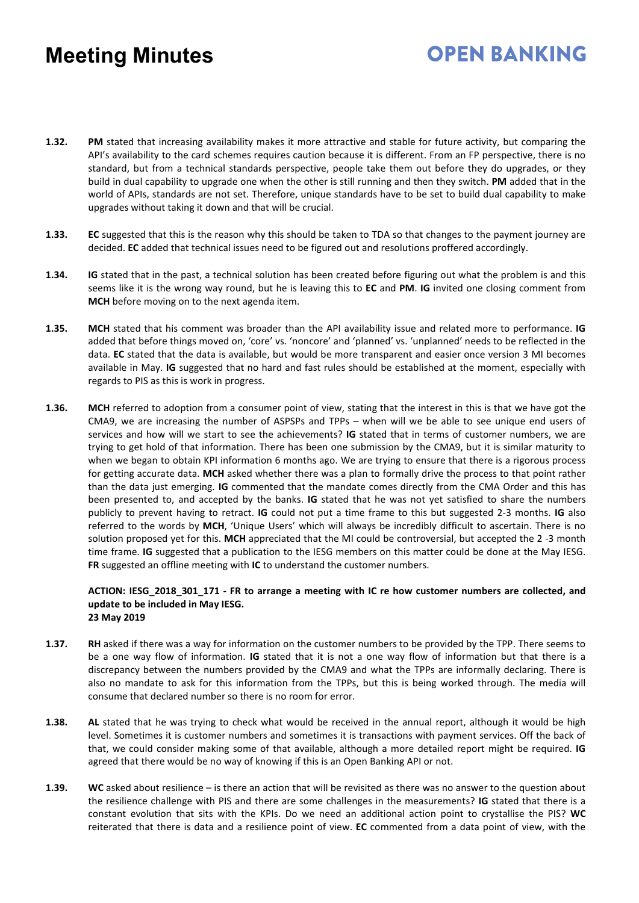**1.32. PM** stated that increasing availability makes it more attractive and stable for future activity, but comparing the API's availability to the card schemes requires caution because it is different. From an FP perspective, there is no standard, but from a technical standards perspective, people take them out before they do upgrades, or they build in dual capability to upgrade one when the other is still running and then they switch. **PM** added that in the world of APIs, standards are not set. Therefore, unique standards have to be set to build dual capability to make upgrades without taking it down and that will be crucial.

**OPEN BANKING** 

- **1.33. EC** suggested that this is the reason why this should be taken to TDA so that changes to the payment journey are decided. **EC** added that technical issues need to be figured out and resolutions proffered accordingly.
- **1.34. IG** stated that in the past, a technical solution has been created before figuring out what the problem is and this seems like it is the wrong way round, but he is leaving this to **EC** and **PM**. **IG** invited one closing comment from **MCH** before moving on to the next agenda item.
- **1.35. MCH** stated that his comment was broader than the API availability issue and related more to performance. **IG** added that before things moved on, 'core' vs. 'noncore' and 'planned' vs. 'unplanned' needs to be reflected in the data. **EC** stated that the data is available, but would be more transparent and easier once version 3 MI becomes available in May. **IG** suggested that no hard and fast rules should be established at the moment, especially with regards to PIS as this is work in progress.
- **1.36. MCH** referred to adoption from a consumer point of view, stating that the interest in this is that we have got the CMA9, we are increasing the number of ASPSPs and TPPs – when will we be able to see unique end users of services and how will we start to see the achievements? **IG** stated that in terms of customer numbers, we are trying to get hold of that information. There has been one submission by the CMA9, but it is similar maturity to when we began to obtain KPI information 6 months ago. We are trying to ensure that there is a rigorous process for getting accurate data. **MCH** asked whether there was a plan to formally drive the process to that point rather than the data just emerging. **IG** commented that the mandate comes directly from the CMA Order and this has been presented to, and accepted by the banks. **IG** stated that he was not yet satisfied to share the numbers publicly to prevent having to retract. **IG** could not put a time frame to this but suggested 2-3 months. **IG** also referred to the words by **MCH**, 'Unique Users' which will always be incredibly difficult to ascertain. There is no solution proposed yet for this. **MCH** appreciated that the MI could be controversial, but accepted the 2 -3 month time frame. **IG** suggested that a publication to the IESG members on this matter could be done at the May IESG. **FR** suggested an offline meeting with **IC** to understand the customer numbers.

#### **ACTION: IESG\_2018\_301\_171 - FR to arrange a meeting with IC re how customer numbers are collected, and update to be included in May IESG. 23 May 2019**

- **1.37. RH** asked if there was a way for information on the customer numbers to be provided by the TPP. There seems to be a one way flow of information. **IG** stated that it is not a one way flow of information but that there is a discrepancy between the numbers provided by the CMA9 and what the TPPs are informally declaring. There is also no mandate to ask for this information from the TPPs, but this is being worked through. The media will consume that declared number so there is no room for error.
- **1.38. AL** stated that he was trying to check what would be received in the annual report, although it would be high level. Sometimes it is customer numbers and sometimes it is transactions with payment services. Off the back of that, we could consider making some of that available, although a more detailed report might be required. **IG** agreed that there would be no way of knowing if this is an Open Banking API or not.
- **1.39. WC** asked about resilience is there an action that will be revisited as there was no answer to the question about the resilience challenge with PIS and there are some challenges in the measurements? **IG** stated that there is a constant evolution that sits with the KPIs. Do we need an additional action point to crystallise the PIS? **WC** reiterated that there is data and a resilience point of view. **EC** commented from a data point of view, with the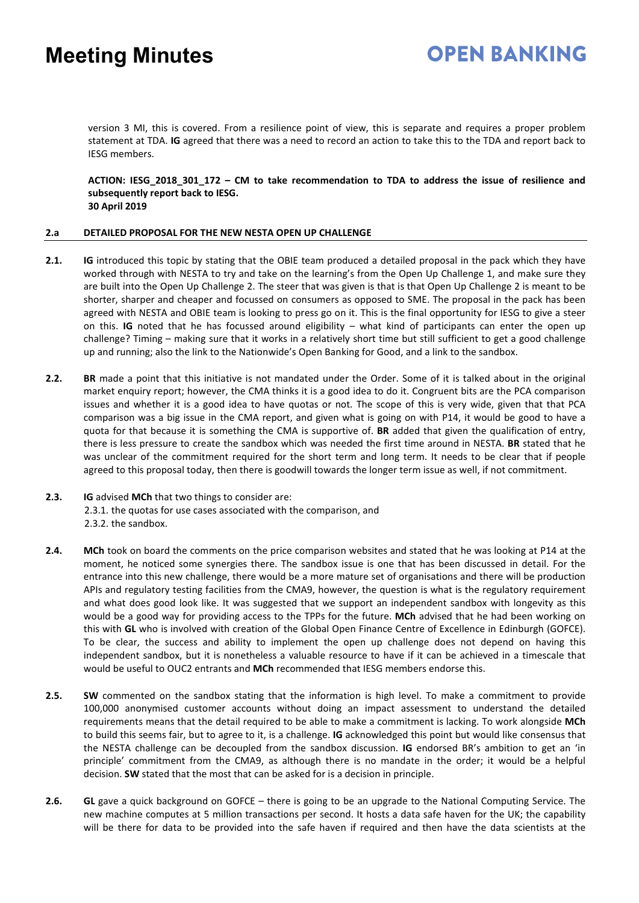version 3 MI, this is covered. From a resilience point of view, this is separate and requires a proper problem statement at TDA. **IG** agreed that there was a need to record an action to take this to the TDA and report back to IESG members.

**ACTION: IESG\_2018\_301\_172 – CM to take recommendation to TDA to address the issue of resilience and subsequently report back to IESG. 30 April 2019**

#### **2.a DETAILED PROPOSAL FOR THE NEW NESTA OPEN UP CHALLENGE**

- **2.1. IG** introduced this topic by stating that the OBIE team produced a detailed proposal in the pack which they have worked through with NESTA to try and take on the learning's from the Open Up Challenge 1, and make sure they are built into the Open Up Challenge 2. The steer that was given is that is that Open Up Challenge 2 is meant to be shorter, sharper and cheaper and focussed on consumers as opposed to SME. The proposal in the pack has been agreed with NESTA and OBIE team is looking to press go on it. This is the final opportunity for IESG to give a steer on this. **IG** noted that he has focussed around eligibility – what kind of participants can enter the open up challenge? Timing – making sure that it works in a relatively short time but still sufficient to get a good challenge up and running; also the link to the Nationwide's Open Banking for Good, and a link to the sandbox.
- **2.2. BR** made a point that this initiative is not mandated under the Order. Some of it is talked about in the original market enquiry report; however, the CMA thinks it is a good idea to do it. Congruent bits are the PCA comparison issues and whether it is a good idea to have quotas or not. The scope of this is very wide, given that that PCA comparison was a big issue in the CMA report, and given what is going on with P14, it would be good to have a quota for that because it is something the CMA is supportive of. **BR** added that given the qualification of entry, there is less pressure to create the sandbox which was needed the first time around in NESTA. **BR** stated that he was unclear of the commitment required for the short term and long term. It needs to be clear that if people agreed to this proposal today, then there is goodwill towards the longer term issue as well, if not commitment.
- **2.3. IG** advised **MCh** that two things to consider are: 2.3.1. the quotas for use cases associated with the comparison, and 2.3.2. the sandbox.
- **2.4. MCh** took on board the comments on the price comparison websites and stated that he was looking at P14 at the moment, he noticed some synergies there. The sandbox issue is one that has been discussed in detail. For the entrance into this new challenge, there would be a more mature set of organisations and there will be production APIs and regulatory testing facilities from the CMA9, however, the question is what is the regulatory requirement and what does good look like. It was suggested that we support an independent sandbox with longevity as this would be a good way for providing access to the TPPs for the future. **MCh** advised that he had been working on this with **GL** who is involved with creation of the Global Open Finance Centre of Excellence in Edinburgh (GOFCE). To be clear, the success and ability to implement the open up challenge does not depend on having this independent sandbox, but it is nonetheless a valuable resource to have if it can be achieved in a timescale that would be useful to OUC2 entrants and **MCh** recommended that IESG members endorse this.
- **2.5. SW** commented on the sandbox stating that the information is high level. To make a commitment to provide 100,000 anonymised customer accounts without doing an impact assessment to understand the detailed requirements means that the detail required to be able to make a commitment is lacking. To work alongside **MCh** to build this seems fair, but to agree to it, is a challenge. **IG** acknowledged this point but would like consensus that the NESTA challenge can be decoupled from the sandbox discussion. **IG** endorsed BR's ambition to get an 'in principle' commitment from the CMA9, as although there is no mandate in the order; it would be a helpful decision. **SW** stated that the most that can be asked for is a decision in principle.
- **2.6. GL** gave a quick background on GOFCE there is going to be an upgrade to the National Computing Service. The new machine computes at 5 million transactions per second. It hosts a data safe haven for the UK; the capability will be there for data to be provided into the safe haven if required and then have the data scientists at the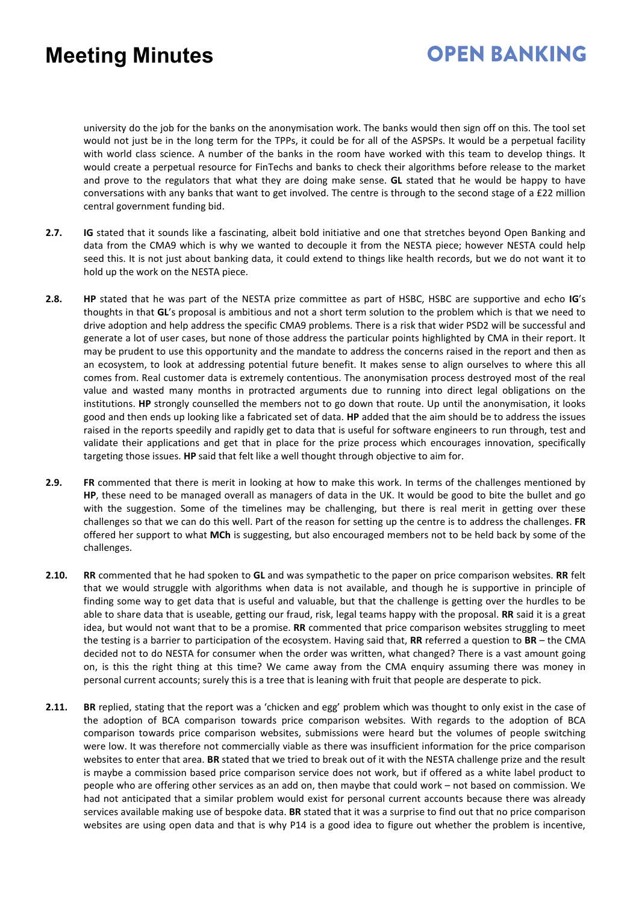## **OPEN BANKING**

university do the job for the banks on the anonymisation work. The banks would then sign off on this. The tool set would not just be in the long term for the TPPs, it could be for all of the ASPSPs. It would be a perpetual facility with world class science. A number of the banks in the room have worked with this team to develop things. It would create a perpetual resource for FinTechs and banks to check their algorithms before release to the market and prove to the regulators that what they are doing make sense. **GL** stated that he would be happy to have conversations with any banks that want to get involved. The centre is through to the second stage of a £22 million central government funding bid.

- **2.7. IG** stated that it sounds like a fascinating, albeit bold initiative and one that stretches beyond Open Banking and data from the CMA9 which is why we wanted to decouple it from the NESTA piece; however NESTA could help seed this. It is not just about banking data, it could extend to things like health records, but we do not want it to hold up the work on the NESTA piece.
- **2.8. HP** stated that he was part of the NESTA prize committee as part of HSBC, HSBC are supportive and echo **IG**'s thoughts in that **GL**'s proposal is ambitious and not a short term solution to the problem which is that we need to drive adoption and help address the specific CMA9 problems. There is a risk that wider PSD2 will be successful and generate a lot of user cases, but none of those address the particular points highlighted by CMA in their report. It may be prudent to use this opportunity and the mandate to address the concerns raised in the report and then as an ecosystem, to look at addressing potential future benefit. It makes sense to align ourselves to where this all comes from. Real customer data is extremely contentious. The anonymisation process destroyed most of the real value and wasted many months in protracted arguments due to running into direct legal obligations on the institutions. **HP** strongly counselled the members not to go down that route. Up until the anonymisation, it looks good and then ends up looking like a fabricated set of data. **HP** added that the aim should be to address the issues raised in the reports speedily and rapidly get to data that is useful for software engineers to run through, test and validate their applications and get that in place for the prize process which encourages innovation, specifically targeting those issues. **HP** said that felt like a well thought through objective to aim for.
- **2.9. FR** commented that there is merit in looking at how to make this work. In terms of the challenges mentioned by **HP**, these need to be managed overall as managers of data in the UK. It would be good to bite the bullet and go with the suggestion. Some of the timelines may be challenging, but there is real merit in getting over these challenges so that we can do this well. Part of the reason for setting up the centre is to address the challenges. **FR**  offered her support to what **MCh** is suggesting, but also encouraged members not to be held back by some of the challenges.
- **2.10. RR** commented that he had spoken to **GL** and was sympathetic to the paper on price comparison websites. **RR** felt that we would struggle with algorithms when data is not available, and though he is supportive in principle of finding some way to get data that is useful and valuable, but that the challenge is getting over the hurdles to be able to share data that is useable, getting our fraud, risk, legal teams happy with the proposal. **RR** said it is a great idea, but would not want that to be a promise. **RR** commented that price comparison websites struggling to meet the testing is a barrier to participation of the ecosystem. Having said that, **RR** referred a question to **BR** – the CMA decided not to do NESTA for consumer when the order was written, what changed? There is a vast amount going on, is this the right thing at this time? We came away from the CMA enquiry assuming there was money in personal current accounts; surely this is a tree that is leaning with fruit that people are desperate to pick.
- **2.11. BR** replied, stating that the report was a 'chicken and egg' problem which was thought to only exist in the case of the adoption of BCA comparison towards price comparison websites. With regards to the adoption of BCA comparison towards price comparison websites, submissions were heard but the volumes of people switching were low. It was therefore not commercially viable as there was insufficient information for the price comparison websites to enter that area. **BR** stated that we tried to break out of it with the NESTA challenge prize and the result is maybe a commission based price comparison service does not work, but if offered as a white label product to people who are offering other services as an add on, then maybe that could work – not based on commission. We had not anticipated that a similar problem would exist for personal current accounts because there was already services available making use of bespoke data. **BR** stated that it was a surprise to find out that no price comparison websites are using open data and that is why P14 is a good idea to figure out whether the problem is incentive,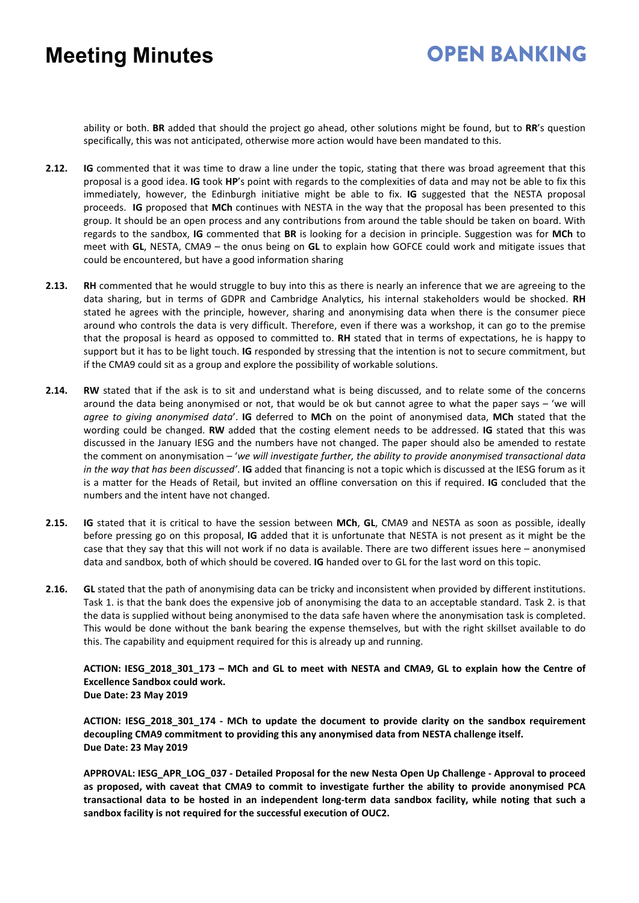# **OPEN BANKING**

ability or both. **BR** added that should the project go ahead, other solutions might be found, but to **RR**'s question specifically, this was not anticipated, otherwise more action would have been mandated to this.

- **2.12. IG** commented that it was time to draw a line under the topic, stating that there was broad agreement that this proposal is a good idea. **IG** took **HP**'s point with regards to the complexities of data and may not be able to fix this immediately, however, the Edinburgh initiative might be able to fix. **IG** suggested that the NESTA proposal proceeds. **IG** proposed that **MCh** continues with NESTA in the way that the proposal has been presented to this group. It should be an open process and any contributions from around the table should be taken on board. With regards to the sandbox, **IG** commented that **BR** is looking for a decision in principle. Suggestion was for **MCh** to meet with **GL**, NESTA, CMA9 – the onus being on **GL** to explain how GOFCE could work and mitigate issues that could be encountered, but have a good information sharing
- **2.13. RH** commented that he would struggle to buy into this as there is nearly an inference that we are agreeing to the data sharing, but in terms of GDPR and Cambridge Analytics, his internal stakeholders would be shocked. **RH** stated he agrees with the principle, however, sharing and anonymising data when there is the consumer piece around who controls the data is very difficult. Therefore, even if there was a workshop, it can go to the premise that the proposal is heard as opposed to committed to. **RH** stated that in terms of expectations, he is happy to support but it has to be light touch. **IG** responded by stressing that the intention is not to secure commitment, but if the CMA9 could sit as a group and explore the possibility of workable solutions.
- **2.14. RW** stated that if the ask is to sit and understand what is being discussed, and to relate some of the concerns around the data being anonymised or not, that would be ok but cannot agree to what the paper says – 'we will *agree to giving anonymised data*'. **IG** deferred to **MCh** on the point of anonymised data, **MCh** stated that the wording could be changed. **RW** added that the costing element needs to be addressed. **IG** stated that this was discussed in the January IESG and the numbers have not changed. The paper should also be amended to restate the comment on anonymisation – '*we will investigate further, the ability to provide anonymised transactional data in the way that has been discussed'*. **IG** added that financing is not a topic which is discussed at the IESG forum as it is a matter for the Heads of Retail, but invited an offline conversation on this if required. **IG** concluded that the numbers and the intent have not changed.
- **2.15. IG** stated that it is critical to have the session between **MCh**, **GL**, CMA9 and NESTA as soon as possible, ideally before pressing go on this proposal, **IG** added that it is unfortunate that NESTA is not present as it might be the case that they say that this will not work if no data is available. There are two different issues here – anonymised data and sandbox, both of which should be covered. **IG** handed over to GL for the last word on this topic.
- **2.16. GL** stated that the path of anonymising data can be tricky and inconsistent when provided by different institutions. Task 1. is that the bank does the expensive job of anonymising the data to an acceptable standard. Task 2. is that the data is supplied without being anonymised to the data safe haven where the anonymisation task is completed. This would be done without the bank bearing the expense themselves, but with the right skillset available to do this. The capability and equipment required for this is already up and running.

**ACTION: IESG\_2018\_301\_173 – MCh and GL to meet with NESTA and CMA9, GL to explain how the Centre of Excellence Sandbox could work. Due Date: 23 May 2019** 

**ACTION: IESG\_2018\_301\_174 - MCh to update the document to provide clarity on the sandbox requirement decoupling CMA9 commitment to providing this any anonymised data from NESTA challenge itself. Due Date: 23 May 2019** 

**APPROVAL: IESG\_APR\_LOG\_037 - Detailed Proposal for the new Nesta Open Up Challenge - Approval to proceed as proposed, with caveat that CMA9 to commit to investigate further the ability to provide anonymised PCA transactional data to be hosted in an independent long-term data sandbox facility, while noting that such a sandbox facility is not required for the successful execution of OUC2.**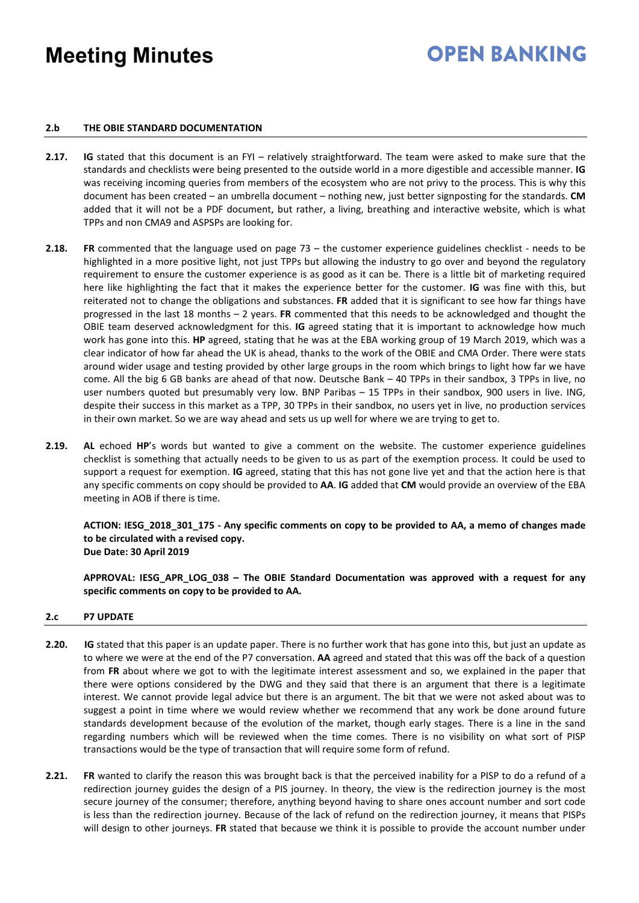# **OPEN BANKING**

#### **2.b THE OBIE STANDARD DOCUMENTATION**

- **2.17. IG** stated that this document is an FYI relatively straightforward. The team were asked to make sure that the standards and checklists were being presented to the outside world in a more digestible and accessible manner. **IG** was receiving incoming queries from members of the ecosystem who are not privy to the process. This is why this document has been created – an umbrella document – nothing new, just better signposting for the standards. **CM** added that it will not be a PDF document, but rather, a living, breathing and interactive website, which is what TPPs and non CMA9 and ASPSPs are looking for.
- **2.18. FR** commented that the language used on page 73 the customer experience guidelines checklist needs to be highlighted in a more positive light, not just TPPs but allowing the industry to go over and beyond the regulatory requirement to ensure the customer experience is as good as it can be. There is a little bit of marketing required here like highlighting the fact that it makes the experience better for the customer. **IG** was fine with this, but reiterated not to change the obligations and substances. **FR** added that it is significant to see how far things have progressed in the last 18 months – 2 years. **FR** commented that this needs to be acknowledged and thought the OBIE team deserved acknowledgment for this. **IG** agreed stating that it is important to acknowledge how much work has gone into this. **HP** agreed, stating that he was at the EBA working group of 19 March 2019, which was a clear indicator of how far ahead the UK is ahead, thanks to the work of the OBIE and CMA Order. There were stats around wider usage and testing provided by other large groups in the room which brings to light how far we have come. All the big 6 GB banks are ahead of that now. Deutsche Bank – 40 TPPs in their sandbox, 3 TPPs in live, no user numbers quoted but presumably very low. BNP Paribas – 15 TPPs in their sandbox, 900 users in live. ING, despite their success in this market as a TPP, 30 TPPs in their sandbox, no users yet in live, no production services in their own market. So we are way ahead and sets us up well for where we are trying to get to.
- **2.19. AL** echoed **HP**'s words but wanted to give a comment on the website. The customer experience guidelines checklist is something that actually needs to be given to us as part of the exemption process. It could be used to support a request for exemption. **IG** agreed, stating that this has not gone live yet and that the action here is that any specific comments on copy should be provided to **AA**. **IG** added that **CM** would provide an overview of the EBA meeting in AOB if there is time.

**ACTION: IESG\_2018\_301\_175 - Any specific comments on copy to be provided to AA, a memo of changes made to be circulated with a revised copy. Due Date: 30 April 2019**

**APPROVAL: IESG\_APR\_LOG\_038 – The OBIE Standard Documentation was approved with a request for any specific comments on copy to be provided to AA.**

#### **2.c P7 UPDATE**

- **2.20. IG** stated that this paper is an update paper. There is no further work that has gone into this, but just an update as to where we were at the end of the P7 conversation. **AA** agreed and stated that this was off the back of a question from **FR** about where we got to with the legitimate interest assessment and so, we explained in the paper that there were options considered by the DWG and they said that there is an argument that there is a legitimate interest. We cannot provide legal advice but there is an argument. The bit that we were not asked about was to suggest a point in time where we would review whether we recommend that any work be done around future standards development because of the evolution of the market, though early stages. There is a line in the sand regarding numbers which will be reviewed when the time comes. There is no visibility on what sort of PISP transactions would be the type of transaction that will require some form of refund.
- **2.21. FR** wanted to clarify the reason this was brought back is that the perceived inability for a PISP to do a refund of a redirection journey guides the design of a PIS journey. In theory, the view is the redirection journey is the most secure journey of the consumer; therefore, anything beyond having to share ones account number and sort code is less than the redirection journey. Because of the lack of refund on the redirection journey, it means that PISPs will design to other journeys. **FR** stated that because we think it is possible to provide the account number under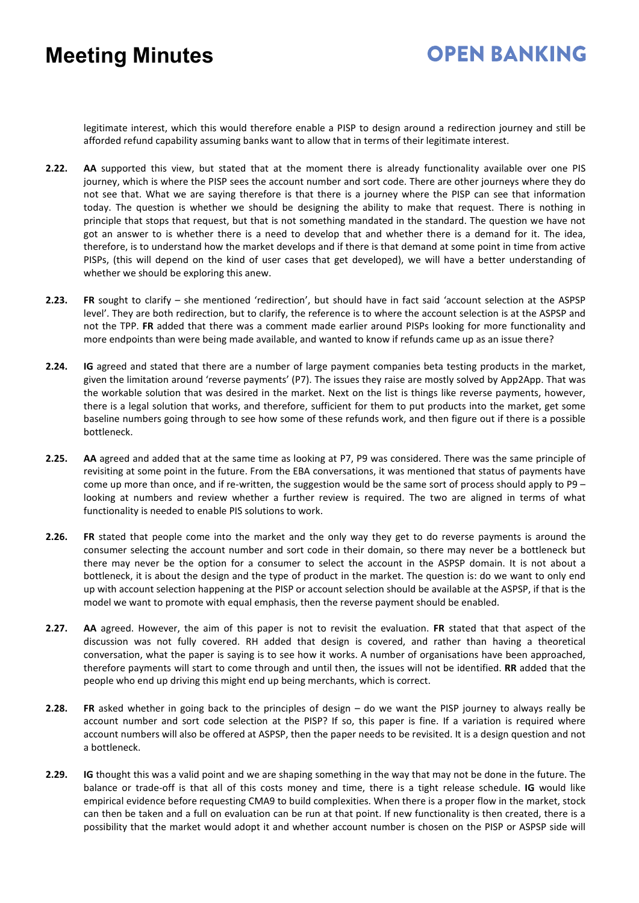## **OPEN BANKING**

legitimate interest, which this would therefore enable a PISP to design around a redirection journey and still be afforded refund capability assuming banks want to allow that in terms of their legitimate interest.

- **2.22. AA** supported this view, but stated that at the moment there is already functionality available over one PIS journey, which is where the PISP sees the account number and sort code. There are other journeys where they do not see that. What we are saying therefore is that there is a journey where the PISP can see that information today. The question is whether we should be designing the ability to make that request. There is nothing in principle that stops that request, but that is not something mandated in the standard. The question we have not got an answer to is whether there is a need to develop that and whether there is a demand for it. The idea, therefore, is to understand how the market develops and if there is that demand at some point in time from active PISPs, (this will depend on the kind of user cases that get developed), we will have a better understanding of whether we should be exploring this anew.
- **2.23. FR** sought to clarify she mentioned 'redirection', but should have in fact said 'account selection at the ASPSP level'. They are both redirection, but to clarify, the reference is to where the account selection is at the ASPSP and not the TPP. **FR** added that there was a comment made earlier around PISPs looking for more functionality and more endpoints than were being made available, and wanted to know if refunds came up as an issue there?
- **2.24. IG** agreed and stated that there are a number of large payment companies beta testing products in the market, given the limitation around 'reverse payments' (P7). The issues they raise are mostly solved by App2App. That was the workable solution that was desired in the market. Next on the list is things like reverse payments, however, there is a legal solution that works, and therefore, sufficient for them to put products into the market, get some baseline numbers going through to see how some of these refunds work, and then figure out if there is a possible bottleneck.
- **2.25. AA** agreed and added that at the same time as looking at P7, P9 was considered. There was the same principle of revisiting at some point in the future. From the EBA conversations, it was mentioned that status of payments have come up more than once, and if re-written, the suggestion would be the same sort of process should apply to P9 – looking at numbers and review whether a further review is required. The two are aligned in terms of what functionality is needed to enable PIS solutions to work.
- **2.26. FR** stated that people come into the market and the only way they get to do reverse payments is around the consumer selecting the account number and sort code in their domain, so there may never be a bottleneck but there may never be the option for a consumer to select the account in the ASPSP domain. It is not about a bottleneck, it is about the design and the type of product in the market. The question is: do we want to only end up with account selection happening at the PISP or account selection should be available at the ASPSP, if that is the model we want to promote with equal emphasis, then the reverse payment should be enabled.
- **2.27. AA** agreed. However, the aim of this paper is not to revisit the evaluation. **FR** stated that that aspect of the discussion was not fully covered. RH added that design is covered, and rather than having a theoretical conversation, what the paper is saying is to see how it works. A number of organisations have been approached, therefore payments will start to come through and until then, the issues will not be identified. **RR** added that the people who end up driving this might end up being merchants, which is correct.
- **2.28. FR** asked whether in going back to the principles of design do we want the PISP journey to always really be account number and sort code selection at the PISP? If so, this paper is fine. If a variation is required where account numbers will also be offered at ASPSP, then the paper needs to be revisited. It is a design question and not a bottleneck.
- **2.29. IG** thought this was a valid point and we are shaping something in the way that may not be done in the future. The balance or trade-off is that all of this costs money and time, there is a tight release schedule. **IG** would like empirical evidence before requesting CMA9 to build complexities. When there is a proper flow in the market, stock can then be taken and a full on evaluation can be run at that point. If new functionality is then created, there is a possibility that the market would adopt it and whether account number is chosen on the PISP or ASPSP side will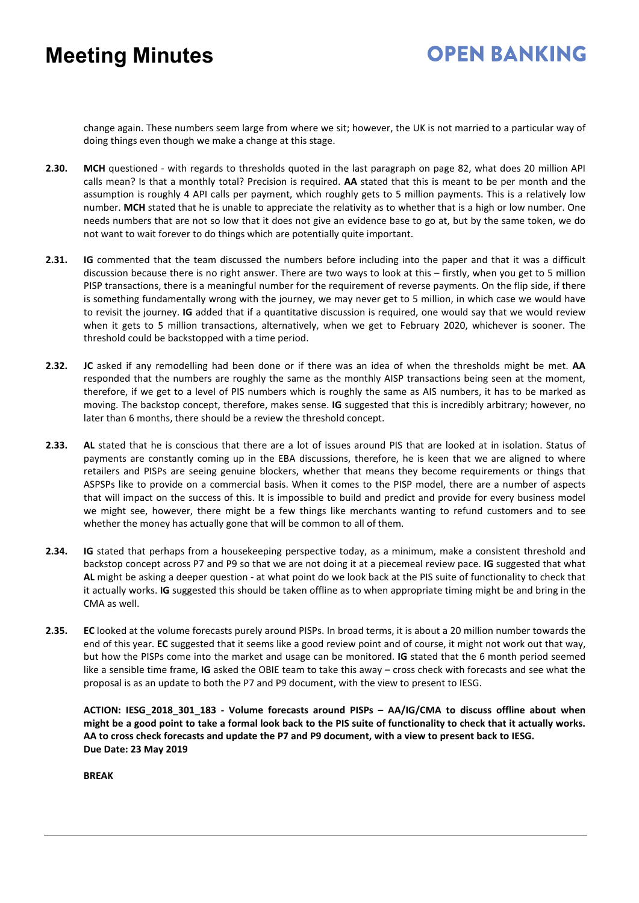# **OPEN BANKING**

change again. These numbers seem large from where we sit; however, the UK is not married to a particular way of doing things even though we make a change at this stage.

- **2.30. MCH** questioned with regards to thresholds quoted in the last paragraph on page 82, what does 20 million API calls mean? Is that a monthly total? Precision is required. **AA** stated that this is meant to be per month and the assumption is roughly 4 API calls per payment, which roughly gets to 5 million payments. This is a relatively low number. **MCH** stated that he is unable to appreciate the relativity as to whether that is a high or low number. One needs numbers that are not so low that it does not give an evidence base to go at, but by the same token, we do not want to wait forever to do things which are potentially quite important.
- **2.31. IG** commented that the team discussed the numbers before including into the paper and that it was a difficult discussion because there is no right answer. There are two ways to look at this – firstly, when you get to 5 million PISP transactions, there is a meaningful number for the requirement of reverse payments. On the flip side, if there is something fundamentally wrong with the journey, we may never get to 5 million, in which case we would have to revisit the journey. **IG** added that if a quantitative discussion is required, one would say that we would review when it gets to 5 million transactions, alternatively, when we get to February 2020, whichever is sooner. The threshold could be backstopped with a time period.
- **2.32. JC** asked if any remodelling had been done or if there was an idea of when the thresholds might be met. **AA** responded that the numbers are roughly the same as the monthly AISP transactions being seen at the moment, therefore, if we get to a level of PIS numbers which is roughly the same as AIS numbers, it has to be marked as moving. The backstop concept, therefore, makes sense. **IG** suggested that this is incredibly arbitrary; however, no later than 6 months, there should be a review the threshold concept.
- **2.33. AL** stated that he is conscious that there are a lot of issues around PIS that are looked at in isolation. Status of payments are constantly coming up in the EBA discussions, therefore, he is keen that we are aligned to where retailers and PISPs are seeing genuine blockers, whether that means they become requirements or things that ASPSPs like to provide on a commercial basis. When it comes to the PISP model, there are a number of aspects that will impact on the success of this. It is impossible to build and predict and provide for every business model we might see, however, there might be a few things like merchants wanting to refund customers and to see whether the money has actually gone that will be common to all of them.
- **2.34. IG** stated that perhaps from a housekeeping perspective today, as a minimum, make a consistent threshold and backstop concept across P7 and P9 so that we are not doing it at a piecemeal review pace. **IG** suggested that what **AL** might be asking a deeper question - at what point do we look back at the PIS suite of functionality to check that it actually works. **IG** suggested this should be taken offline as to when appropriate timing might be and bring in the CMA as well.
- **2.35. EC** looked at the volume forecasts purely around PISPs. In broad terms, it is about a 20 million number towards the end of this year. **EC** suggested that it seems like a good review point and of course, it might not work out that way, but how the PISPs come into the market and usage can be monitored. **IG** stated that the 6 month period seemed like a sensible time frame, **IG** asked the OBIE team to take this away – cross check with forecasts and see what the proposal is as an update to both the P7 and P9 document, with the view to present to IESG.

**ACTION: IESG\_2018\_301\_183 - Volume forecasts around PISPs – AA/IG/CMA to discuss offline about when might be a good point to take a formal look back to the PIS suite of functionality to check that it actually works. AA to cross check forecasts and update the P7 and P9 document, with a view to present back to IESG. Due Date: 23 May 2019**

**BREAK**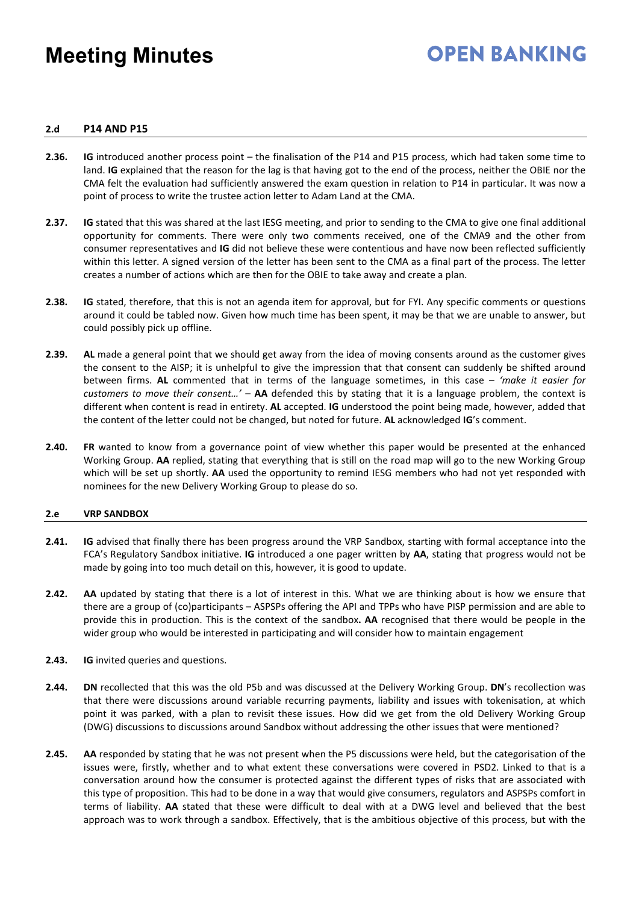# **OPEN BANKING**

#### **2.d P14 AND P15**

- **2.36. IG** introduced another process point the finalisation of the P14 and P15 process, which had taken some time to land. **IG** explained that the reason for the lag is that having got to the end of the process, neither the OBIE nor the CMA felt the evaluation had sufficiently answered the exam question in relation to P14 in particular. It was now a point of process to write the trustee action letter to Adam Land at the CMA.
- **2.37. IG** stated that this was shared at the last IESG meeting, and prior to sending to the CMA to give one final additional opportunity for comments. There were only two comments received, one of the CMA9 and the other from consumer representatives and **IG** did not believe these were contentious and have now been reflected sufficiently within this letter. A signed version of the letter has been sent to the CMA as a final part of the process. The letter creates a number of actions which are then for the OBIE to take away and create a plan.
- **2.38. IG** stated, therefore, that this is not an agenda item for approval, but for FYI. Any specific comments or questions around it could be tabled now. Given how much time has been spent, it may be that we are unable to answer, but could possibly pick up offline.
- **2.39. AL** made a general point that we should get away from the idea of moving consents around as the customer gives the consent to the AISP; it is unhelpful to give the impression that that consent can suddenly be shifted around between firms. **AL** commented that in terms of the language sometimes, in this case – *'make it easier for customers to move their consent…'* – **AA** defended this by stating that it is a language problem, the context is different when content is read in entirety. **AL** accepted. **IG** understood the point being made, however, added that the content of the letter could not be changed, but noted for future. **AL** acknowledged **IG**'s comment.
- **2.40. FR** wanted to know from a governance point of view whether this paper would be presented at the enhanced Working Group. **AA** replied, stating that everything that is still on the road map will go to the new Working Group which will be set up shortly. **AA** used the opportunity to remind IESG members who had not yet responded with nominees for the new Delivery Working Group to please do so.

#### **2.e VRP SANDBOX**

- **2.41. IG** advised that finally there has been progress around the VRP Sandbox, starting with formal acceptance into the FCA's Regulatory Sandbox initiative. **IG** introduced a one pager written by **AA**, stating that progress would not be made by going into too much detail on this, however, it is good to update.
- **2.42. AA** updated by stating that there is a lot of interest in this. What we are thinking about is how we ensure that there are a group of (co)participants – ASPSPs offering the API and TPPs who have PISP permission and are able to provide this in production. This is the context of the sandbox**. AA** recognised that there would be people in the wider group who would be interested in participating and will consider how to maintain engagement
- **2.43. IG** invited queries and questions.
- **2.44. DN** recollected that this was the old P5b and was discussed at the Delivery Working Group. **DN**'s recollection was that there were discussions around variable recurring payments, liability and issues with tokenisation, at which point it was parked, with a plan to revisit these issues. How did we get from the old Delivery Working Group (DWG) discussions to discussions around Sandbox without addressing the other issues that were mentioned?
- **2.45. AA** responded by stating that he was not present when the P5 discussions were held, but the categorisation of the issues were, firstly, whether and to what extent these conversations were covered in PSD2. Linked to that is a conversation around how the consumer is protected against the different types of risks that are associated with this type of proposition. This had to be done in a way that would give consumers, regulators and ASPSPs comfort in terms of liability. **AA** stated that these were difficult to deal with at a DWG level and believed that the best approach was to work through a sandbox. Effectively, that is the ambitious objective of this process, but with the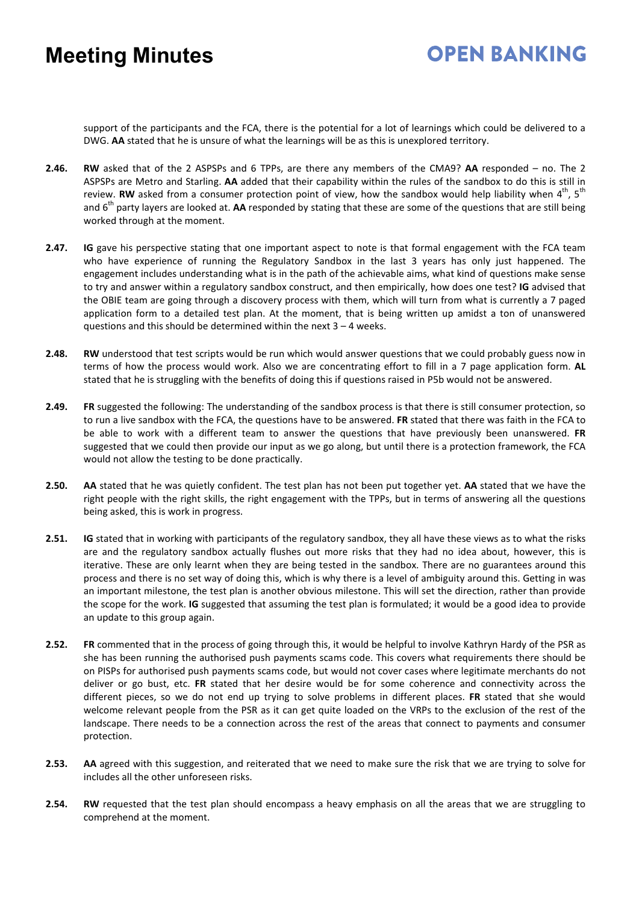# **OPEN BANKING**

support of the participants and the FCA, there is the potential for a lot of learnings which could be delivered to a DWG. **AA** stated that he is unsure of what the learnings will be as this is unexplored territory.

- **2.46. RW** asked that of the 2 ASPSPs and 6 TPPs, are there any members of the CMA9? **AA** responded no. The 2 ASPSPs are Metro and Starling. **AA** added that their capability within the rules of the sandbox to do this is still in review. **RW** asked from a consumer protection point of view, how the sandbox would help liability when 4<sup>th</sup>, 5<sup>th</sup> and 6<sup>th</sup> party layers are looked at. **AA** responded by stating that these are some of the questions that are still being worked through at the moment.
- **2.47. IG** gave his perspective stating that one important aspect to note is that formal engagement with the FCA team who have experience of running the Regulatory Sandbox in the last 3 years has only just happened. The engagement includes understanding what is in the path of the achievable aims, what kind of questions make sense to try and answer within a regulatory sandbox construct, and then empirically, how does one test? **IG** advised that the OBIE team are going through a discovery process with them, which will turn from what is currently a 7 paged application form to a detailed test plan. At the moment, that is being written up amidst a ton of unanswered questions and this should be determined within the next 3 – 4 weeks.
- **2.48. RW** understood that test scripts would be run which would answer questions that we could probably guess now in terms of how the process would work. Also we are concentrating effort to fill in a 7 page application form. **AL** stated that he is struggling with the benefits of doing this if questions raised in P5b would not be answered.
- **2.49. FR** suggested the following: The understanding of the sandbox process is that there is still consumer protection, so to run a live sandbox with the FCA, the questions have to be answered. **FR** stated that there was faith in the FCA to be able to work with a different team to answer the questions that have previously been unanswered. **FR**  suggested that we could then provide our input as we go along, but until there is a protection framework, the FCA would not allow the testing to be done practically.
- **2.50. AA** stated that he was quietly confident. The test plan has not been put together yet. **AA** stated that we have the right people with the right skills, the right engagement with the TPPs, but in terms of answering all the questions being asked, this is work in progress.
- **2.51. IG** stated that in working with participants of the regulatory sandbox, they all have these views as to what the risks are and the regulatory sandbox actually flushes out more risks that they had no idea about, however, this is iterative. These are only learnt when they are being tested in the sandbox. There are no guarantees around this process and there is no set way of doing this, which is why there is a level of ambiguity around this. Getting in was an important milestone, the test plan is another obvious milestone. This will set the direction, rather than provide the scope for the work. **IG** suggested that assuming the test plan is formulated; it would be a good idea to provide an update to this group again.
- **2.52. FR** commented that in the process of going through this, it would be helpful to involve Kathryn Hardy of the PSR as she has been running the authorised push payments scams code. This covers what requirements there should be on PISPs for authorised push payments scams code, but would not cover cases where legitimate merchants do not deliver or go bust, etc. **FR** stated that her desire would be for some coherence and connectivity across the different pieces, so we do not end up trying to solve problems in different places. **FR** stated that she would welcome relevant people from the PSR as it can get quite loaded on the VRPs to the exclusion of the rest of the landscape. There needs to be a connection across the rest of the areas that connect to payments and consumer protection.
- **2.53. AA** agreed with this suggestion, and reiterated that we need to make sure the risk that we are trying to solve for includes all the other unforeseen risks.
- **2.54. RW** requested that the test plan should encompass a heavy emphasis on all the areas that we are struggling to comprehend at the moment.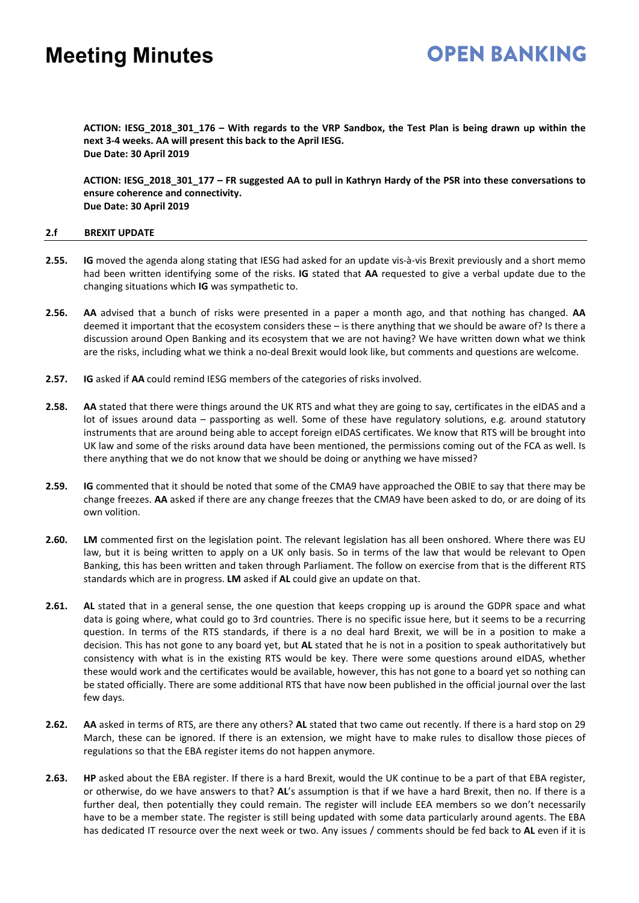**ACTION: IESG\_2018\_301\_176 – With regards to the VRP Sandbox, the Test Plan is being drawn up within the next 3-4 weeks. AA will present this back to the April IESG. Due Date: 30 April 2019**

**ACTION: IESG\_2018\_301\_177 – FR suggested AA to pull in Kathryn Hardy of the PSR into these conversations to ensure coherence and connectivity. Due Date: 30 April 2019**

#### **2.f BREXIT UPDATE**

- **2.55. IG** moved the agenda along stating that IESG had asked for an update vis-à-vis Brexit previously and a short memo had been written identifying some of the risks. **IG** stated that **AA** requested to give a verbal update due to the changing situations which **IG** was sympathetic to.
- **2.56. AA** advised that a bunch of risks were presented in a paper a month ago, and that nothing has changed. **AA** deemed it important that the ecosystem considers these – is there anything that we should be aware of? Is there a discussion around Open Banking and its ecosystem that we are not having? We have written down what we think are the risks, including what we think a no-deal Brexit would look like, but comments and questions are welcome.
- **2.57. IG** asked if **AA** could remind IESG members of the categories of risks involved.
- **2.58. AA** stated that there were things around the UK RTS and what they are going to say, certificates in the eIDAS and a lot of issues around data – passporting as well. Some of these have regulatory solutions, e.g. around statutory instruments that are around being able to accept foreign eIDAS certificates. We know that RTS will be brought into UK law and some of the risks around data have been mentioned, the permissions coming out of the FCA as well. Is there anything that we do not know that we should be doing or anything we have missed?
- **2.59. IG** commented that it should be noted that some of the CMA9 have approached the OBIE to say that there may be change freezes. **AA** asked if there are any change freezes that the CMA9 have been asked to do, or are doing of its own volition.
- **2.60. LM** commented first on the legislation point. The relevant legislation has all been onshored. Where there was EU law, but it is being written to apply on a UK only basis. So in terms of the law that would be relevant to Open Banking, this has been written and taken through Parliament. The follow on exercise from that is the different RTS standards which are in progress. **LM** asked if **AL** could give an update on that.
- **2.61. AL** stated that in a general sense, the one question that keeps cropping up is around the GDPR space and what data is going where, what could go to 3rd countries. There is no specific issue here, but it seems to be a recurring question. In terms of the RTS standards, if there is a no deal hard Brexit, we will be in a position to make a decision. This has not gone to any board yet, but **AL** stated that he is not in a position to speak authoritatively but consistency with what is in the existing RTS would be key. There were some questions around eIDAS, whether these would work and the certificates would be available, however, this has not gone to a board yet so nothing can be stated officially. There are some additional RTS that have now been published in the official journal over the last few days.
- **2.62. AA** asked in terms of RTS, are there any others? **AL** stated that two came out recently. If there is a hard stop on 29 March, these can be ignored. If there is an extension, we might have to make rules to disallow those pieces of regulations so that the EBA register items do not happen anymore.
- **2.63. HP** asked about the EBA register. If there is a hard Brexit, would the UK continue to be a part of that EBA register, or otherwise, do we have answers to that? **AL**'s assumption is that if we have a hard Brexit, then no. If there is a further deal, then potentially they could remain. The register will include EEA members so we don't necessarily have to be a member state. The register is still being updated with some data particularly around agents. The EBA has dedicated IT resource over the next week or two. Any issues / comments should be fed back to **AL** even if it is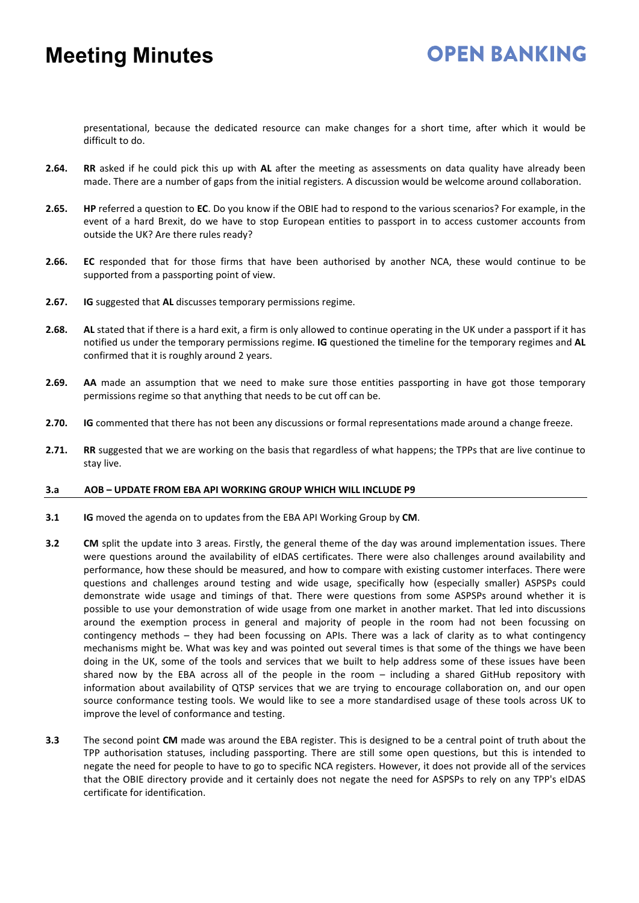#### **OPEN BANKING**

presentational, because the dedicated resource can make changes for a short time, after which it would be difficult to do.

- **2.64. RR** asked if he could pick this up with **AL** after the meeting as assessments on data quality have already been made. There are a number of gaps from the initial registers. A discussion would be welcome around collaboration.
- **2.65. HP** referred a question to **EC**. Do you know if the OBIE had to respond to the various scenarios? For example, in the event of a hard Brexit, do we have to stop European entities to passport in to access customer accounts from outside the UK? Are there rules ready?
- **2.66. EC** responded that for those firms that have been authorised by another NCA, these would continue to be supported from a passporting point of view.
- **2.67. IG** suggested that **AL** discusses temporary permissions regime.
- **2.68. AL** stated that if there is a hard exit, a firm is only allowed to continue operating in the UK under a passport if it has notified us under the temporary permissions regime. **IG** questioned the timeline for the temporary regimes and **AL** confirmed that it is roughly around 2 years.
- **2.69. AA** made an assumption that we need to make sure those entities passporting in have got those temporary permissions regime so that anything that needs to be cut off can be.
- **2.70. IG** commented that there has not been any discussions or formal representations made around a change freeze.
- **2.71. RR** suggested that we are working on the basis that regardless of what happens; the TPPs that are live continue to stay live.

#### **3.a AOB – UPDATE FROM EBA API WORKING GROUP WHICH WILL INCLUDE P9**

- **3.1 IG** moved the agenda on to updates from the EBA API Working Group by **CM**.
- **3.2 CM** split the update into 3 areas. Firstly, the general theme of the day was around implementation issues. There were questions around the availability of eIDAS certificates. There were also challenges around availability and performance, how these should be measured, and how to compare with existing customer interfaces. There were questions and challenges around testing and wide usage, specifically how (especially smaller) ASPSPs could demonstrate wide usage and timings of that. There were questions from some ASPSPs around whether it is possible to use your demonstration of wide usage from one market in another market. That led into discussions around the exemption process in general and majority of people in the room had not been focussing on contingency methods – they had been focussing on APIs. There was a lack of clarity as to what contingency mechanisms might be. What was key and was pointed out several times is that some of the things we have been doing in the UK, some of the tools and services that we built to help address some of these issues have been shared now by the EBA across all of the people in the room – including a shared GitHub repository with information about availability of QTSP services that we are trying to encourage collaboration on, and our open source conformance testing tools. We would like to see a more standardised usage of these tools across UK to improve the level of conformance and testing.
- **3.3** The second point **CM** made was around the EBA register. This is designed to be a central point of truth about the TPP authorisation statuses, including passporting. There are still some open questions, but this is intended to negate the need for people to have to go to specific NCA registers. However, it does not provide all of the services that the OBIE directory provide and it certainly does not negate the need for ASPSPs to rely on any TPP's eIDAS certificate for identification.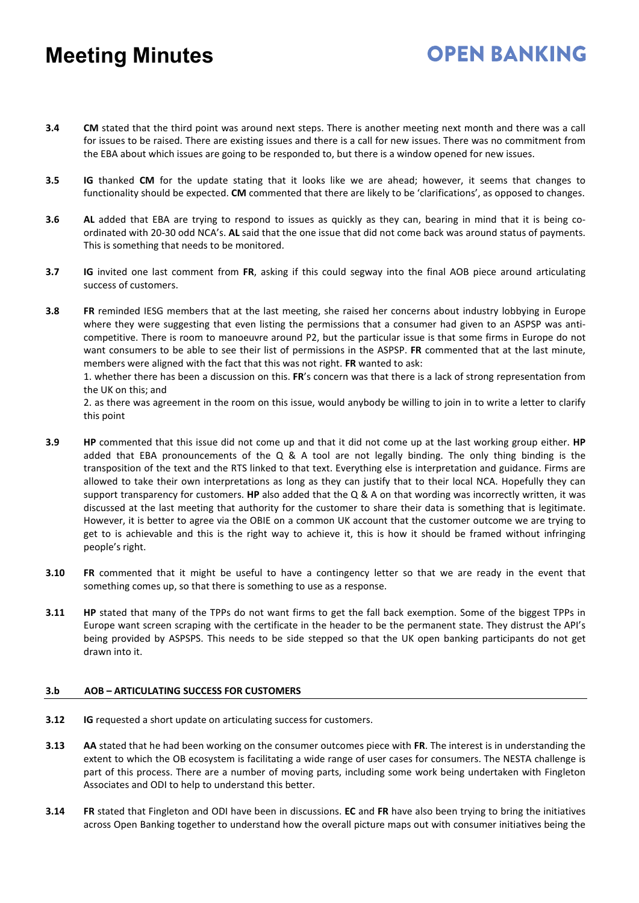**3.4 CM** stated that the third point was around next steps. There is another meeting next month and there was a call for issues to be raised. There are existing issues and there is a call for new issues. There was no commitment from the EBA about which issues are going to be responded to, but there is a window opened for new issues.

**OPEN BANKING** 

- **3.5 IG** thanked **CM** for the update stating that it looks like we are ahead; however, it seems that changes to functionality should be expected. **CM** commented that there are likely to be 'clarifications', as opposed to changes.
- **3.6 AL** added that EBA are trying to respond to issues as quickly as they can, bearing in mind that it is being coordinated with 20-30 odd NCA's. **AL** said that the one issue that did not come back was around status of payments. This is something that needs to be monitored.
- **3.7 IG** invited one last comment from **FR**, asking if this could segway into the final AOB piece around articulating success of customers.
- **3.8 FR** reminded IESG members that at the last meeting, she raised her concerns about industry lobbying in Europe where they were suggesting that even listing the permissions that a consumer had given to an ASPSP was anticompetitive. There is room to manoeuvre around P2, but the particular issue is that some firms in Europe do not want consumers to be able to see their list of permissions in the ASPSP. **FR** commented that at the last minute, members were aligned with the fact that this was not right. **FR** wanted to ask:

1. whether there has been a discussion on this. **FR**'s concern was that there is a lack of strong representation from the UK on this; and

2. as there was agreement in the room on this issue, would anybody be willing to join in to write a letter to clarify this point

- **3.9 HP** commented that this issue did not come up and that it did not come up at the last working group either. **HP** added that EBA pronouncements of the Q & A tool are not legally binding. The only thing binding is the transposition of the text and the RTS linked to that text. Everything else is interpretation and guidance. Firms are allowed to take their own interpretations as long as they can justify that to their local NCA. Hopefully they can support transparency for customers. **HP** also added that the Q & A on that wording was incorrectly written, it was discussed at the last meeting that authority for the customer to share their data is something that is legitimate. However, it is better to agree via the OBIE on a common UK account that the customer outcome we are trying to get to is achievable and this is the right way to achieve it, this is how it should be framed without infringing people's right.
- **3.10 FR** commented that it might be useful to have a contingency letter so that we are ready in the event that something comes up, so that there is something to use as a response.
- **3.11 HP** stated that many of the TPPs do not want firms to get the fall back exemption. Some of the biggest TPPs in Europe want screen scraping with the certificate in the header to be the permanent state. They distrust the API's being provided by ASPSPS. This needs to be side stepped so that the UK open banking participants do not get drawn into it.

#### **3.b AOB – ARTICULATING SUCCESS FOR CUSTOMERS**

- **3.12 IG** requested a short update on articulating success for customers.
- **3.13 AA** stated that he had been working on the consumer outcomes piece with **FR**. The interest is in understanding the extent to which the OB ecosystem is facilitating a wide range of user cases for consumers. The NESTA challenge is part of this process. There are a number of moving parts, including some work being undertaken with Fingleton Associates and ODI to help to understand this better.
- **3.14 FR** stated that Fingleton and ODI have been in discussions. **EC** and **FR** have also been trying to bring the initiatives across Open Banking together to understand how the overall picture maps out with consumer initiatives being the